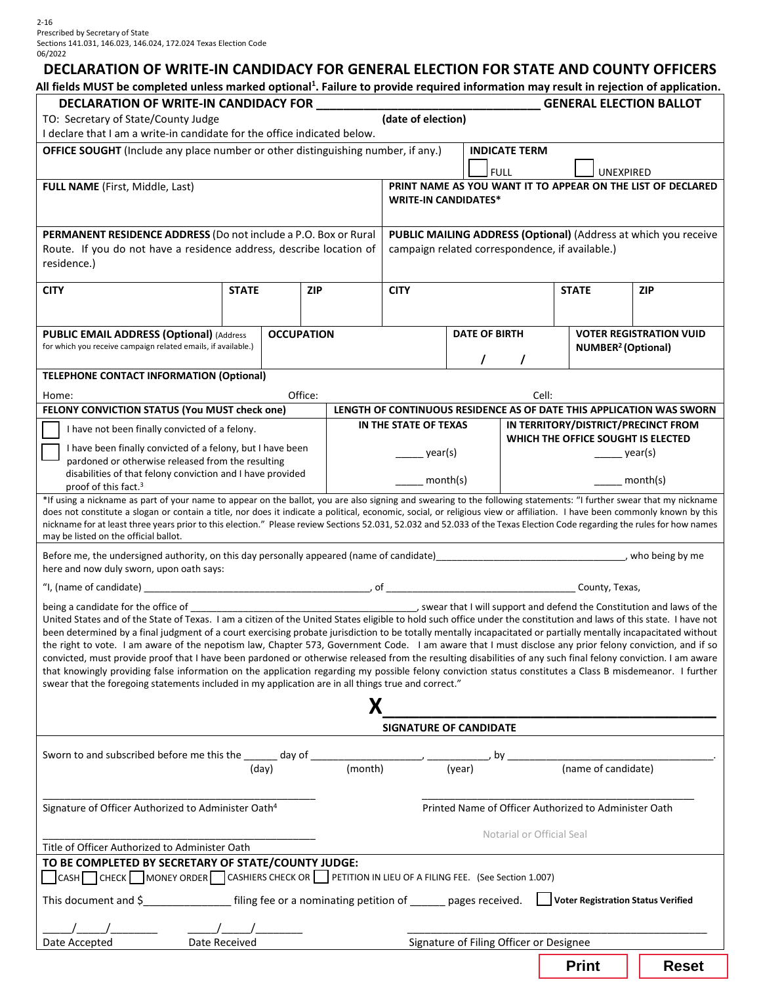# **DECLARATION OF WRITE-IN CANDIDACY FOR GENERAL ELECTION FOR STATE AND COUNTY OFFICERS**

All fields MUST be completed unless marked optional<sup>1</sup>. Failure to provide required information may result in rejection of application.

| DECLARATION OF WRITE-IN CANDIDACY FOR<br><b>GENERAL ELECTION BALLOT</b>                                                                                                                                                                                                                                                                                                                                                                                                                                                                                                                                                                                                                                                                                                                                                                                                                                                                |              |                   |            |   |                                                                                         |  |                           |                                                                           |                                                                      |  |
|----------------------------------------------------------------------------------------------------------------------------------------------------------------------------------------------------------------------------------------------------------------------------------------------------------------------------------------------------------------------------------------------------------------------------------------------------------------------------------------------------------------------------------------------------------------------------------------------------------------------------------------------------------------------------------------------------------------------------------------------------------------------------------------------------------------------------------------------------------------------------------------------------------------------------------------|--------------|-------------------|------------|---|-----------------------------------------------------------------------------------------|--|---------------------------|---------------------------------------------------------------------------|----------------------------------------------------------------------|--|
| TO: Secretary of State/County Judge<br>I declare that I am a write-in candidate for the office indicated below.                                                                                                                                                                                                                                                                                                                                                                                                                                                                                                                                                                                                                                                                                                                                                                                                                        |              |                   |            |   | (date of election)                                                                      |  |                           |                                                                           |                                                                      |  |
| <b>OFFICE SOUGHT</b> (Include any place number or other distinguishing number, if any.)                                                                                                                                                                                                                                                                                                                                                                                                                                                                                                                                                                                                                                                                                                                                                                                                                                                |              |                   |            |   |                                                                                         |  | <b>INDICATE TERM</b>      |                                                                           |                                                                      |  |
| FULL NAME (First, Middle, Last)                                                                                                                                                                                                                                                                                                                                                                                                                                                                                                                                                                                                                                                                                                                                                                                                                                                                                                        |              |                   |            |   | <b>FULL</b><br>UNEXPIRED<br>PRINT NAME AS YOU WANT IT TO APPEAR ON THE LIST OF DECLARED |  |                           |                                                                           |                                                                      |  |
|                                                                                                                                                                                                                                                                                                                                                                                                                                                                                                                                                                                                                                                                                                                                                                                                                                                                                                                                        |              |                   |            |   | <b>WRITE-IN CANDIDATES*</b>                                                             |  |                           |                                                                           |                                                                      |  |
| PERMANENT RESIDENCE ADDRESS (Do not include a P.O. Box or Rural                                                                                                                                                                                                                                                                                                                                                                                                                                                                                                                                                                                                                                                                                                                                                                                                                                                                        |              |                   |            |   |                                                                                         |  |                           |                                                                           | PUBLIC MAILING ADDRESS (Optional) (Address at which you receive      |  |
| Route. If you do not have a residence address, describe location of<br>residence.)                                                                                                                                                                                                                                                                                                                                                                                                                                                                                                                                                                                                                                                                                                                                                                                                                                                     |              |                   |            |   |                                                                                         |  |                           | campaign related correspondence, if available.)                           |                                                                      |  |
| <b>CITY</b>                                                                                                                                                                                                                                                                                                                                                                                                                                                                                                                                                                                                                                                                                                                                                                                                                                                                                                                            | <b>STATE</b> |                   | <b>ZIP</b> |   | <b>CITY</b>                                                                             |  |                           | <b>STATE</b>                                                              | <b>ZIP</b>                                                           |  |
|                                                                                                                                                                                                                                                                                                                                                                                                                                                                                                                                                                                                                                                                                                                                                                                                                                                                                                                                        |              |                   |            |   |                                                                                         |  |                           |                                                                           |                                                                      |  |
| <b>PUBLIC EMAIL ADDRESS (Optional) (Address</b><br>for which you receive campaign related emails, if available.)                                                                                                                                                                                                                                                                                                                                                                                                                                                                                                                                                                                                                                                                                                                                                                                                                       |              | <b>OCCUPATION</b> |            |   | <b>DATE OF BIRTH</b>                                                                    |  |                           | <b>VOTER REGISTRATION VUID</b><br>NUMBER <sup>2</sup> (Optional)          |                                                                      |  |
|                                                                                                                                                                                                                                                                                                                                                                                                                                                                                                                                                                                                                                                                                                                                                                                                                                                                                                                                        |              |                   |            |   |                                                                                         |  |                           |                                                                           |                                                                      |  |
| <b>TELEPHONE CONTACT INFORMATION (Optional)</b>                                                                                                                                                                                                                                                                                                                                                                                                                                                                                                                                                                                                                                                                                                                                                                                                                                                                                        |              |                   |            |   |                                                                                         |  |                           |                                                                           |                                                                      |  |
| Office:<br>Cell:<br>Home:                                                                                                                                                                                                                                                                                                                                                                                                                                                                                                                                                                                                                                                                                                                                                                                                                                                                                                              |              |                   |            |   |                                                                                         |  |                           |                                                                           |                                                                      |  |
| FELONY CONVICTION STATUS (You MUST check one)                                                                                                                                                                                                                                                                                                                                                                                                                                                                                                                                                                                                                                                                                                                                                                                                                                                                                          |              |                   |            |   |                                                                                         |  |                           |                                                                           | LENGTH OF CONTINUOUS RESIDENCE AS OF DATE THIS APPLICATION WAS SWORN |  |
| I have not been finally convicted of a felony.                                                                                                                                                                                                                                                                                                                                                                                                                                                                                                                                                                                                                                                                                                                                                                                                                                                                                         |              |                   |            |   | IN THE STATE OF TEXAS                                                                   |  |                           | IN TERRITORY/DISTRICT/PRECINCT FROM<br>WHICH THE OFFICE SOUGHT IS ELECTED |                                                                      |  |
| I have been finally convicted of a felony, but I have been                                                                                                                                                                                                                                                                                                                                                                                                                                                                                                                                                                                                                                                                                                                                                                                                                                                                             |              |                   |            |   | year(s)                                                                                 |  |                           |                                                                           | year(s)                                                              |  |
| pardoned or otherwise released from the resulting<br>disabilities of that felony conviction and I have provided<br>proof of this fact. <sup>3</sup>                                                                                                                                                                                                                                                                                                                                                                                                                                                                                                                                                                                                                                                                                                                                                                                    |              |                   |            |   | month(s)                                                                                |  |                           | month(s)                                                                  |                                                                      |  |
| *If using a nickname as part of your name to appear on the ballot, you are also signing and swearing to the following statements: "I further swear that my nickname                                                                                                                                                                                                                                                                                                                                                                                                                                                                                                                                                                                                                                                                                                                                                                    |              |                   |            |   |                                                                                         |  |                           |                                                                           |                                                                      |  |
| does not constitute a slogan or contain a title, nor does it indicate a political, economic, social, or religious view or affiliation. I have been commonly known by this<br>nickname for at least three years prior to this election." Please review Sections 52.031, 52.032 and 52.033 of the Texas Election Code regarding the rules for how names<br>may be listed on the official ballot.                                                                                                                                                                                                                                                                                                                                                                                                                                                                                                                                         |              |                   |            |   |                                                                                         |  |                           |                                                                           |                                                                      |  |
| Before me, the undersigned authority, on this day personally appeared (name of candidate)<br>exampled the material material contract the understanding of the university who being by me<br>here and now duly sworn, upon oath says:                                                                                                                                                                                                                                                                                                                                                                                                                                                                                                                                                                                                                                                                                                   |              |                   |            |   |                                                                                         |  |                           |                                                                           |                                                                      |  |
|                                                                                                                                                                                                                                                                                                                                                                                                                                                                                                                                                                                                                                                                                                                                                                                                                                                                                                                                        |              |                   |            |   |                                                                                         |  |                           |                                                                           |                                                                      |  |
| United States and of the State of Texas. I am a citizen of the United States eligible to hold such office under the constitution and laws of this state. I have not<br>been determined by a final judgment of a court exercising probate jurisdiction to be totally mentally incapacitated or partially mentally incapacitated without<br>the right to vote. I am aware of the nepotism law, Chapter 573, Government Code. I am aware that I must disclose any prior felony conviction, and if so<br>convicted, must provide proof that I have been pardoned or otherwise released from the resulting disabilities of any such final felony conviction. I am aware<br>that knowingly providing false information on the application regarding my possible felony conviction status constitutes a Class B misdemeanor. I further<br>swear that the foregoing statements included in my application are in all things true and correct." |              |                   |            |   |                                                                                         |  |                           |                                                                           |                                                                      |  |
|                                                                                                                                                                                                                                                                                                                                                                                                                                                                                                                                                                                                                                                                                                                                                                                                                                                                                                                                        |              |                   |            | Х |                                                                                         |  |                           |                                                                           |                                                                      |  |
| SIGNATURE OF CANDIDATE                                                                                                                                                                                                                                                                                                                                                                                                                                                                                                                                                                                                                                                                                                                                                                                                                                                                                                                 |              |                   |            |   |                                                                                         |  |                           |                                                                           |                                                                      |  |
|                                                                                                                                                                                                                                                                                                                                                                                                                                                                                                                                                                                                                                                                                                                                                                                                                                                                                                                                        |              |                   |            |   |                                                                                         |  |                           |                                                                           |                                                                      |  |
| Sworn to and subscribed before me this the $\frac{1}{(day)}$ day of $\frac{1}{(month)}$ (month) (year)                                                                                                                                                                                                                                                                                                                                                                                                                                                                                                                                                                                                                                                                                                                                                                                                                                 |              |                   |            |   |                                                                                         |  |                           | (name of candidate)                                                       |                                                                      |  |
|                                                                                                                                                                                                                                                                                                                                                                                                                                                                                                                                                                                                                                                                                                                                                                                                                                                                                                                                        |              |                   |            |   |                                                                                         |  |                           |                                                                           |                                                                      |  |
| Printed Name of Officer Authorized to Administer Oath<br>Signature of Officer Authorized to Administer Oath <sup>4</sup>                                                                                                                                                                                                                                                                                                                                                                                                                                                                                                                                                                                                                                                                                                                                                                                                               |              |                   |            |   |                                                                                         |  |                           |                                                                           |                                                                      |  |
| Title of Officer Authorized to Administer Oath                                                                                                                                                                                                                                                                                                                                                                                                                                                                                                                                                                                                                                                                                                                                                                                                                                                                                         |              |                   |            |   |                                                                                         |  | Notarial or Official Seal |                                                                           |                                                                      |  |
| TO BE COMPLETED BY SECRETARY OF STATE/COUNTY JUDGE:<br>CASH CHECK MONEY ORDER CASHIERS CHECK OR PETITION IN LIEU OF A FILING FEE. (See Section 1.007)                                                                                                                                                                                                                                                                                                                                                                                                                                                                                                                                                                                                                                                                                                                                                                                  |              |                   |            |   |                                                                                         |  |                           |                                                                           |                                                                      |  |
| This document and \$______________________filing fee or a nominating petition of _______ pages received. Unlet and Subset Registration Status Verified                                                                                                                                                                                                                                                                                                                                                                                                                                                                                                                                                                                                                                                                                                                                                                                 |              |                   |            |   |                                                                                         |  |                           |                                                                           |                                                                      |  |
|                                                                                                                                                                                                                                                                                                                                                                                                                                                                                                                                                                                                                                                                                                                                                                                                                                                                                                                                        |              |                   |            |   |                                                                                         |  |                           |                                                                           |                                                                      |  |
| Date Received<br>Signature of Filing Officer or Designee<br>Date Accepted                                                                                                                                                                                                                                                                                                                                                                                                                                                                                                                                                                                                                                                                                                                                                                                                                                                              |              |                   |            |   |                                                                                         |  |                           |                                                                           |                                                                      |  |
|                                                                                                                                                                                                                                                                                                                                                                                                                                                                                                                                                                                                                                                                                                                                                                                                                                                                                                                                        |              |                   |            |   |                                                                                         |  |                           | <b>Print</b>                                                              | <b>Reset</b>                                                         |  |
|                                                                                                                                                                                                                                                                                                                                                                                                                                                                                                                                                                                                                                                                                                                                                                                                                                                                                                                                        |              |                   |            |   |                                                                                         |  |                           |                                                                           |                                                                      |  |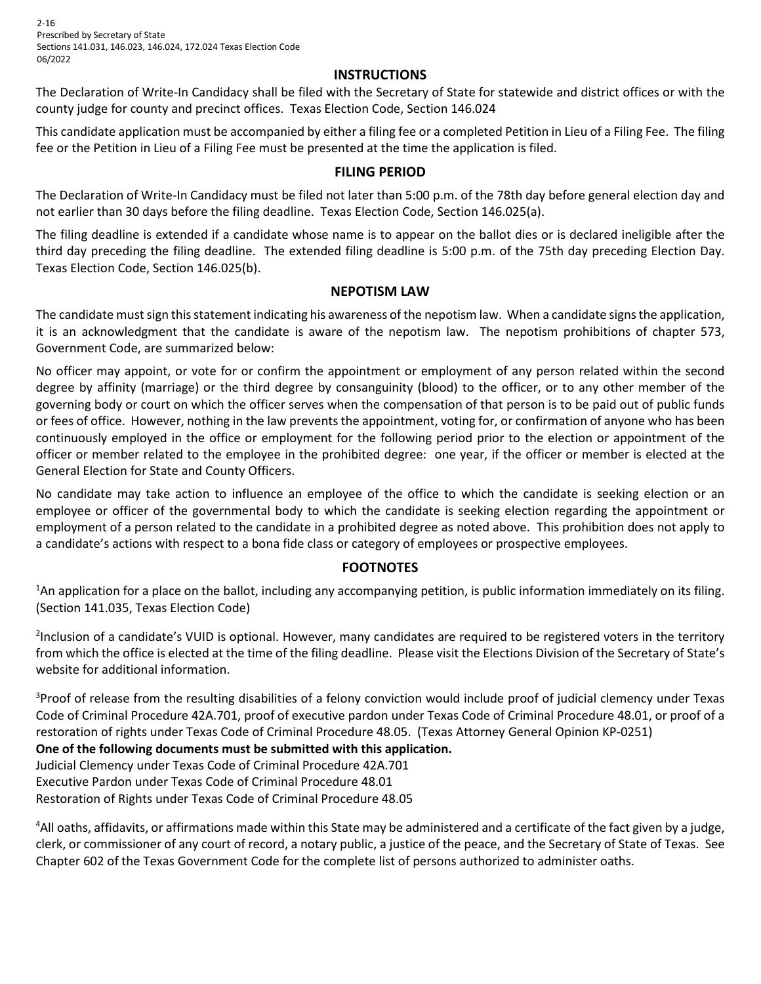2-16 Prescribed by Secretary of State Sections 141.031, 146.023, 146.024, 172.024 Texas Election Code 06/2022

### **INSTRUCTIONS**

The Declaration of Write-In Candidacy shall be filed with the Secretary of State for statewide and district offices or with the county judge for county and precinct offices. Texas Election Code, Section 146.024

This candidate application must be accompanied by either a filing fee or a completed Petition in Lieu of a Filing Fee. The filing fee or the Petition in Lieu of a Filing Fee must be presented at the time the application is filed.

### **FILING PERIOD**

The Declaration of Write-In Candidacy must be filed not later than 5:00 p.m. of the 78th day before general election day and not earlier than 30 days before the filing deadline. Texas Election Code, Section 146.025(a).

The filing deadline is extended if a candidate whose name is to appear on the ballot dies or is declared ineligible after the third day preceding the filing deadline. The extended filing deadline is 5:00 p.m. of the 75th day preceding Election Day. Texas Election Code, Section 146.025(b).

### **NEPOTISM LAW**

The candidate must sign this statement indicating his awareness of the nepotism law. When a candidate signs the application, it is an acknowledgment that the candidate is aware of the nepotism law. The nepotism prohibitions of chapter 573, Government Code, are summarized below:

No officer may appoint, or vote for or confirm the appointment or employment of any person related within the second degree by affinity (marriage) or the third degree by consanguinity (blood) to the officer, or to any other member of the governing body or court on which the officer serves when the compensation of that person is to be paid out of public funds or fees of office. However, nothing in the law prevents the appointment, voting for, or confirmation of anyone who has been continuously employed in the office or employment for the following period prior to the election or appointment of the officer or member related to the employee in the prohibited degree: one year, if the officer or member is elected at the General Election for State and County Officers.

No candidate may take action to influence an employee of the office to which the candidate is seeking election or an employee or officer of the governmental body to which the candidate is seeking election regarding the appointment or employment of a person related to the candidate in a prohibited degree as noted above. This prohibition does not apply to a candidate's actions with respect to a bona fide class or category of employees or prospective employees.

## **FOOTNOTES**

<sup>1</sup>An application for a place on the ballot, including any accompanying petition, is public information immediately on its filing. (Section 141.035, Texas Election Code)

<sup>2</sup>Inclusion of a candidate's VUID is optional. However, many candidates are required to be registered voters in the territory from which the office is elected at the time of the filing deadline. Please visit the Elections Division of the Secretary of State's website for additional information.

<sup>3</sup>Proof of release from the resulting disabilities of a felony conviction would include proof of judicial clemency under Texas Code of Criminal Procedure 42A.701, proof of executive pardon under Texas Code of Criminal Procedure 48.01, or proof of a restoration of rights under Texas Code of Criminal Procedure 48.05. (Texas Attorney General Opinion KP-0251)

## **One of the following documents must be submitted with this application.**

Judicial Clemency under Texas Code of Criminal Procedure 42A.701 Executive Pardon under Texas Code of Criminal Procedure 48.01

Restoration of Rights under Texas Code of Criminal Procedure 48.05

<sup>4</sup>All oaths, affidavits, or affirmations made within this State may be administered and a certificate of the fact given by a judge, clerk, or commissioner of any court of record, a notary public, a justice of the peace, and the Secretary of State of Texas. See Chapter 602 of the Texas Government Code for the complete list of persons authorized to administer oaths.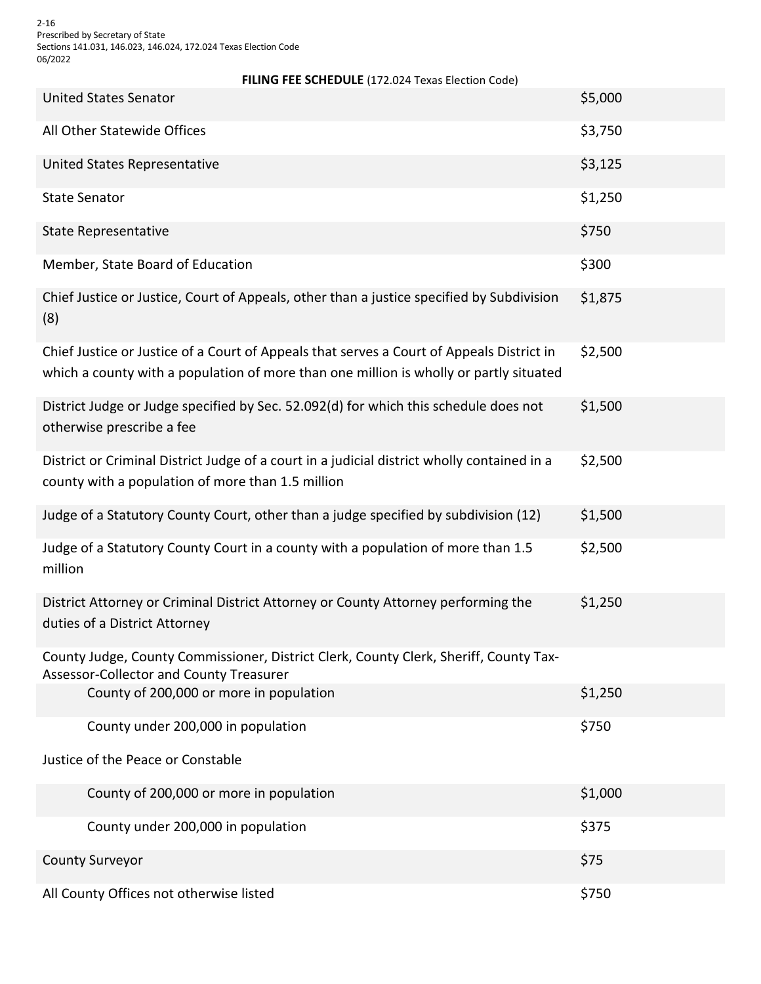2-16 Prescribed by Secretary of State Sections 141.031, 146.023, 146.024, 172.024 Texas Election Code 06/2022

**FILING FEE SCHEDULE** (172.024 Texas Election Code)

| <b>United States Senator</b>                                                                                                                                                        | \$5,000 |
|-------------------------------------------------------------------------------------------------------------------------------------------------------------------------------------|---------|
| All Other Statewide Offices                                                                                                                                                         | \$3,750 |
| United States Representative                                                                                                                                                        | \$3,125 |
| <b>State Senator</b>                                                                                                                                                                | \$1,250 |
| <b>State Representative</b>                                                                                                                                                         | \$750   |
| Member, State Board of Education                                                                                                                                                    | \$300   |
| Chief Justice or Justice, Court of Appeals, other than a justice specified by Subdivision<br>(8)                                                                                    | \$1,875 |
| Chief Justice or Justice of a Court of Appeals that serves a Court of Appeals District in<br>which a county with a population of more than one million is wholly or partly situated | \$2,500 |
| District Judge or Judge specified by Sec. 52.092(d) for which this schedule does not<br>otherwise prescribe a fee                                                                   | \$1,500 |
| District or Criminal District Judge of a court in a judicial district wholly contained in a<br>county with a population of more than 1.5 million                                    | \$2,500 |
| Judge of a Statutory County Court, other than a judge specified by subdivision (12)                                                                                                 | \$1,500 |
| Judge of a Statutory County Court in a county with a population of more than 1.5<br>million                                                                                         | \$2,500 |
| District Attorney or Criminal District Attorney or County Attorney performing the<br>duties of a District Attorney                                                                  | \$1,250 |
| County Judge, County Commissioner, District Clerk, County Clerk, Sheriff, County Tax-<br>Assessor-Collector and County Treasurer                                                    |         |
| County of 200,000 or more in population                                                                                                                                             | \$1,250 |
| County under 200,000 in population                                                                                                                                                  | \$750   |
| Justice of the Peace or Constable                                                                                                                                                   |         |
| County of 200,000 or more in population                                                                                                                                             | \$1,000 |
| County under 200,000 in population                                                                                                                                                  | \$375   |
| <b>County Surveyor</b>                                                                                                                                                              | \$75    |
| All County Offices not otherwise listed                                                                                                                                             | \$750   |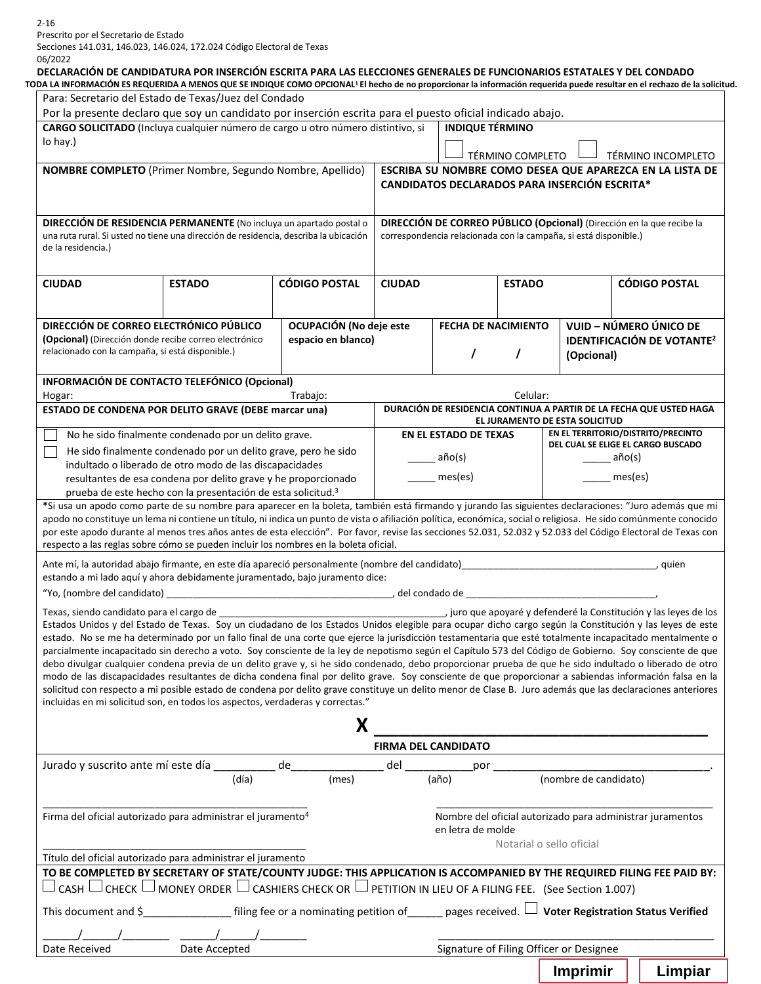Prescrito por el Secretario de Estado

Secciones 141.031, 146.023, 146.024, 172.024 Código Electoral de Texas 06/2022

## **DECLARACIÓN DE CANDIDATURA POR INSERCIÓN ESCRITA PARA LAS ELECCIONES GENERALES DE FUNCIONARIOS ESTATALES Y DEL CONDADO**

| TODA LA INFORMACIÓN ES REQUERIDA A MENOS QUE SE INDIQUE COMO OPCIONAL <sup>1</sup> El hecho de no proporcionar la información requerida puede resultar en el rechazo de la solicitud. |  |
|---------------------------------------------------------------------------------------------------------------------------------------------------------------------------------------|--|
|                                                                                                                                                                                       |  |

|                                                                                                                                                                                                                                                                                                                                                                                                                                                                                                                                                                                                                                                                                                                                                                                                                                                                                                                                                                                                                                                                                                |                                                                                                                                 | Por la presente declaro que soy un candidato por inserción escrita para el puesto oficial indicado abajo. |                                                                                                       |                                                |                  |                                                                  |                                                                                                                |  |
|------------------------------------------------------------------------------------------------------------------------------------------------------------------------------------------------------------------------------------------------------------------------------------------------------------------------------------------------------------------------------------------------------------------------------------------------------------------------------------------------------------------------------------------------------------------------------------------------------------------------------------------------------------------------------------------------------------------------------------------------------------------------------------------------------------------------------------------------------------------------------------------------------------------------------------------------------------------------------------------------------------------------------------------------------------------------------------------------|---------------------------------------------------------------------------------------------------------------------------------|-----------------------------------------------------------------------------------------------------------|-------------------------------------------------------------------------------------------------------|------------------------------------------------|------------------|------------------------------------------------------------------|----------------------------------------------------------------------------------------------------------------|--|
| lo hay.)                                                                                                                                                                                                                                                                                                                                                                                                                                                                                                                                                                                                                                                                                                                                                                                                                                                                                                                                                                                                                                                                                       | CARGO SOLICITADO (Incluya cualquier número de cargo u otro número distintivo, si                                                |                                                                                                           |                                                                                                       | <b>INDIQUE TÉRMINO</b>                         |                  |                                                                  |                                                                                                                |  |
|                                                                                                                                                                                                                                                                                                                                                                                                                                                                                                                                                                                                                                                                                                                                                                                                                                                                                                                                                                                                                                                                                                |                                                                                                                                 |                                                                                                           |                                                                                                       |                                                | TÉRMINO COMPLETO |                                                                  | TÉRMINO INCOMPLETO                                                                                             |  |
| NOMBRE COMPLETO (Primer Nombre, Segundo Nombre, Apellido)                                                                                                                                                                                                                                                                                                                                                                                                                                                                                                                                                                                                                                                                                                                                                                                                                                                                                                                                                                                                                                      |                                                                                                                                 |                                                                                                           |                                                                                                       |                                                |                  | <b>CANDIDATOS DECLARADOS PARA INSERCIÓN ESCRITA*</b>             | ESCRIBA SU NOMBRE COMO DESEA QUE APAREZCA EN LA LISTA DE                                                       |  |
| DIRECCIÓN DE RESIDENCIA PERMANENTE (No incluya un apartado postal o<br>una ruta rural. Si usted no tiene una dirección de residencia, describa la ubicación<br>de la residencia.)                                                                                                                                                                                                                                                                                                                                                                                                                                                                                                                                                                                                                                                                                                                                                                                                                                                                                                              |                                                                                                                                 |                                                                                                           |                                                                                                       |                                                |                  | correspondencia relacionada con la campaña, si está disponible.) | DIRECCIÓN DE CORREO PÚBLICO (Opcional) (Dirección en la que recibe la                                          |  |
| <b>CIUDAD</b>                                                                                                                                                                                                                                                                                                                                                                                                                                                                                                                                                                                                                                                                                                                                                                                                                                                                                                                                                                                                                                                                                  | <b>ESTADO</b>                                                                                                                   | <b>CÓDIGO POSTAL</b>                                                                                      | <b>CIUDAD</b>                                                                                         |                                                | <b>ESTADO</b>    |                                                                  | <b>CÓDIGO POSTAL</b>                                                                                           |  |
| DIRECCIÓN DE CORREO ELECTRÓNICO PÚBLICO                                                                                                                                                                                                                                                                                                                                                                                                                                                                                                                                                                                                                                                                                                                                                                                                                                                                                                                                                                                                                                                        |                                                                                                                                 | OCUPACIÓN (No deje este                                                                                   |                                                                                                       | FECHA DE NACIMIENTO                            |                  |                                                                  | VUID - NÚMERO ÚNICO DE                                                                                         |  |
|                                                                                                                                                                                                                                                                                                                                                                                                                                                                                                                                                                                                                                                                                                                                                                                                                                                                                                                                                                                                                                                                                                | (Opcional) (Dirección donde recibe correo electrónico<br>espacio en blanco)<br>relacionado con la campaña, si está disponible.) |                                                                                                           |                                                                                                       | $\prime$                                       |                  | <b>IDENTIFICACIÓN DE VOTANTE<sup>2</sup></b><br>(Opcional)       |                                                                                                                |  |
| INFORMACIÓN DE CONTACTO TELEFÓNICO (Opcional)                                                                                                                                                                                                                                                                                                                                                                                                                                                                                                                                                                                                                                                                                                                                                                                                                                                                                                                                                                                                                                                  |                                                                                                                                 |                                                                                                           |                                                                                                       |                                                |                  |                                                                  |                                                                                                                |  |
| Hogar:                                                                                                                                                                                                                                                                                                                                                                                                                                                                                                                                                                                                                                                                                                                                                                                                                                                                                                                                                                                                                                                                                         |                                                                                                                                 | Trabajo:                                                                                                  |                                                                                                       |                                                | Celular:         |                                                                  |                                                                                                                |  |
| ESTADO DE CONDENA POR DELITO GRAVE (DEBE marcar una)                                                                                                                                                                                                                                                                                                                                                                                                                                                                                                                                                                                                                                                                                                                                                                                                                                                                                                                                                                                                                                           |                                                                                                                                 |                                                                                                           | DURACIÓN DE RESIDENCIA CONTINUA A PARTIR DE LA FECHA QUE USTED HAGA<br>EL JURAMENTO DE ESTA SOLICITUD |                                                |                  |                                                                  |                                                                                                                |  |
|                                                                                                                                                                                                                                                                                                                                                                                                                                                                                                                                                                                                                                                                                                                                                                                                                                                                                                                                                                                                                                                                                                | No he sido finalmente condenado por un delito grave.                                                                            |                                                                                                           |                                                                                                       | EN EL ESTADO DE TEXAS                          |                  |                                                                  | EN EL TERRITORIO/DISTRITO/PRECINTO                                                                             |  |
|                                                                                                                                                                                                                                                                                                                                                                                                                                                                                                                                                                                                                                                                                                                                                                                                                                                                                                                                                                                                                                                                                                | He sido finalmente condenado por un delito grave, pero he sido                                                                  |                                                                                                           | __ año(s)                                                                                             |                                                |                  |                                                                  | DEL CUAL SE ELIGE EL CARGO BUSCADO<br>año(s)                                                                   |  |
|                                                                                                                                                                                                                                                                                                                                                                                                                                                                                                                                                                                                                                                                                                                                                                                                                                                                                                                                                                                                                                                                                                | indultado o liberado de otro modo de las discapacidades<br>resultantes de esa condena por delito grave y he proporcionado       |                                                                                                           |                                                                                                       | $\frac{1}{\sqrt{1-\frac{1}{2}}}\text{mes}(es)$ |                  |                                                                  | mes(es)                                                                                                        |  |
|                                                                                                                                                                                                                                                                                                                                                                                                                                                                                                                                                                                                                                                                                                                                                                                                                                                                                                                                                                                                                                                                                                | prueba de este hecho con la presentación de esta solicitud. <sup>3</sup>                                                        |                                                                                                           |                                                                                                       |                                                |                  |                                                                  |                                                                                                                |  |
| *Si usa un apodo como parte de su nombre para aparecer en la boleta, también está firmando y jurando las siguientes declaraciones: "Juro además que mi<br>apodo no constituye un lema ni contiene un título, ni indica un punto de vista o afiliación política, económica, social o religiosa. He sido comúnmente conocido<br>por este apodo durante al menos tres años antes de esta elección". Por favor, revise las secciones 52.031, 52.032 y 52.033 del Código Electoral de Texas con                                                                                                                                                                                                                                                                                                                                                                                                                                                                                                                                                                                                     |                                                                                                                                 |                                                                                                           |                                                                                                       |                                                |                  |                                                                  |                                                                                                                |  |
| respecto a las reglas sobre cómo se pueden incluir los nombres en la boleta oficial.                                                                                                                                                                                                                                                                                                                                                                                                                                                                                                                                                                                                                                                                                                                                                                                                                                                                                                                                                                                                           |                                                                                                                                 |                                                                                                           |                                                                                                       |                                                |                  |                                                                  |                                                                                                                |  |
| Ante mí, la autoridad abajo firmante, en este día apareció personalmente (nombre del candidato)<br>autoria anterior de control (nombre del candidato)<br>1990 - Control (nombre del candidato)<br>2001 - Control (nombre del candida<br>estando a mi lado aquí y ahora debidamente juramentado, bajo juramento dice:                                                                                                                                                                                                                                                                                                                                                                                                                                                                                                                                                                                                                                                                                                                                                                           |                                                                                                                                 |                                                                                                           |                                                                                                       |                                                |                  |                                                                  |                                                                                                                |  |
| "Yo, (nombre del candidato)                                                                                                                                                                                                                                                                                                                                                                                                                                                                                                                                                                                                                                                                                                                                                                                                                                                                                                                                                                                                                                                                    |                                                                                                                                 |                                                                                                           |                                                                                                       |                                                |                  |                                                                  |                                                                                                                |  |
|                                                                                                                                                                                                                                                                                                                                                                                                                                                                                                                                                                                                                                                                                                                                                                                                                                                                                                                                                                                                                                                                                                |                                                                                                                                 |                                                                                                           |                                                                                                       |                                                |                  |                                                                  |                                                                                                                |  |
| Texas, siendo candidato para el cargo de<br>Estados Unidos y del Estado de Texas. Soy un ciudadano de los Estados Unidos elegible para ocupar dicho cargo según la Constitución y las leyes de este<br>estado. No se me ha determinado por un fallo final de una corte que ejerce la jurisdicción testamentaria que esté totalmente incapacitado mentalmente o<br>parcialmente incapacitado sin derecho a voto. Soy consciente de la ley de nepotismo según el Capítulo 573 del Código de Gobierno. Soy consciente de que<br>debo divulgar cualquier condena previa de un delito grave y, si he sido condenado, debo proporcionar prueba de que he sido indultado o liberado de otro<br>modo de las discapacidades resultantes de dicha condena final por delito grave. Soy consciente de que proporcionar a sabiendas información falsa en la<br>solicitud con respecto a mi posible estado de condena por delito grave constituye un delito menor de Clase B. Juro además que las declaraciones anteriores<br>incluidas en mi solicitud son, en todos los aspectos, verdaderas y correctas." |                                                                                                                                 | Х                                                                                                         |                                                                                                       |                                                |                  |                                                                  |                                                                                                                |  |
|                                                                                                                                                                                                                                                                                                                                                                                                                                                                                                                                                                                                                                                                                                                                                                                                                                                                                                                                                                                                                                                                                                |                                                                                                                                 |                                                                                                           | <b>FIRMA DEL CANDIDATO</b>                                                                            |                                                |                  |                                                                  | juro que apoyaré y defenderé la Constitución y las leyes de los (1995) (1998), juro que apoyaré y defenderé la |  |
| Jurado y suscrito ante mí este día                                                                                                                                                                                                                                                                                                                                                                                                                                                                                                                                                                                                                                                                                                                                                                                                                                                                                                                                                                                                                                                             |                                                                                                                                 | de                                                                                                        | del                                                                                                   | por                                            |                  |                                                                  |                                                                                                                |  |
|                                                                                                                                                                                                                                                                                                                                                                                                                                                                                                                                                                                                                                                                                                                                                                                                                                                                                                                                                                                                                                                                                                | (día)                                                                                                                           | (mes)                                                                                                     |                                                                                                       | (año)                                          |                  |                                                                  | (nombre de candidato)                                                                                          |  |
| Firma del oficial autorizado para administrar el juramento <sup>4</sup>                                                                                                                                                                                                                                                                                                                                                                                                                                                                                                                                                                                                                                                                                                                                                                                                                                                                                                                                                                                                                        |                                                                                                                                 |                                                                                                           |                                                                                                       | en letra de molde                              |                  | Notarial o sello oficial                                         | Nombre del oficial autorizado para administrar juramentos                                                      |  |
| Título del oficial autorizado para administrar el juramento                                                                                                                                                                                                                                                                                                                                                                                                                                                                                                                                                                                                                                                                                                                                                                                                                                                                                                                                                                                                                                    |                                                                                                                                 |                                                                                                           |                                                                                                       |                                                |                  |                                                                  |                                                                                                                |  |
| TO BE COMPLETED BY SECRETARY OF STATE/COUNTY JUDGE: THIS APPLICATION IS ACCOMPANIED BY THE REQUIRED FILING FEE PAID BY:<br>$\Box$ CASH $\Box$ CHECK $\Box$ MONEY ORDER $\Box$ CASHIERS CHECK OR $\Box$ PETITION IN LIEU OF A FILING FEE. $\,$ (See Section 1.007)                                                                                                                                                                                                                                                                                                                                                                                                                                                                                                                                                                                                                                                                                                                                                                                                                              |                                                                                                                                 |                                                                                                           |                                                                                                       |                                                |                  |                                                                  |                                                                                                                |  |
| This document and \$                                                                                                                                                                                                                                                                                                                                                                                                                                                                                                                                                                                                                                                                                                                                                                                                                                                                                                                                                                                                                                                                           |                                                                                                                                 |                                                                                                           |                                                                                                       |                                                |                  |                                                                  |                                                                                                                |  |
|                                                                                                                                                                                                                                                                                                                                                                                                                                                                                                                                                                                                                                                                                                                                                                                                                                                                                                                                                                                                                                                                                                |                                                                                                                                 |                                                                                                           |                                                                                                       |                                                |                  |                                                                  |                                                                                                                |  |
| Date Received                                                                                                                                                                                                                                                                                                                                                                                                                                                                                                                                                                                                                                                                                                                                                                                                                                                                                                                                                                                                                                                                                  | Date Accepted                                                                                                                   |                                                                                                           |                                                                                                       |                                                |                  | Signature of Filing Officer or Designee                          |                                                                                                                |  |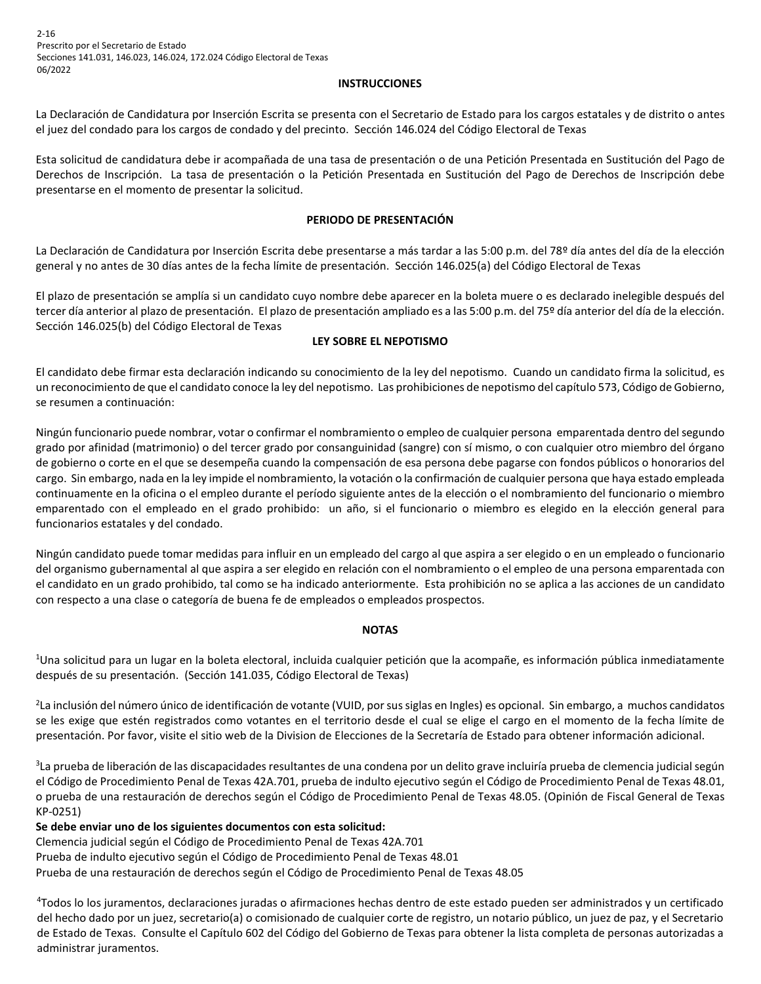2-16 Prescrito por el Secretario de Estado Secciones 141.031, 146.023, 146.024, 172.024 Código Electoral de Texas 06/2022

#### **INSTRUCCIONES**

La Declaración de Candidatura por Inserción Escrita se presenta con el Secretario de Estado para los cargos estatales y de distrito o antes el juez del condado para los cargos de condado y del precinto. Sección 146.024 del Código Electoral de Texas

Esta solicitud de candidatura debe ir acompañada de una tasa de presentación o de una Petición Presentada en Sustitución del Pago de Derechos de Inscripción. La tasa de presentación o la Petición Presentada en Sustitución del Pago de Derechos de Inscripción debe presentarse en el momento de presentar la solicitud.

#### **PERIODO DE PRESENTACIÓN**

La Declaración de Candidatura por Inserción Escrita debe presentarse a más tardar a las 5:00 p.m. del 78º día antes del día de la elección general y no antes de 30 días antes de la fecha límite de presentación. Sección 146.025(a) del Código Electoral de Texas

El plazo de presentación se amplía si un candidato cuyo nombre debe aparecer en la boleta muere o es declarado inelegible después del tercer día anterior al plazo de presentación. El plazo de presentación ampliado es a las 5:00 p.m. del 75º día anterior del día de la elección. Sección 146.025(b) del Código Electoral de Texas

#### **LEY SOBRE EL NEPOTISMO**

El candidato debe firmar esta declaración indicando su conocimiento de la ley del nepotismo. Cuando un candidato firma la solicitud, es un reconocimiento de que el candidato conoce la ley del nepotismo. Las prohibiciones de nepotismo del capítulo 573, Código de Gobierno, se resumen a continuación:

Ningún funcionario puede nombrar, votar o confirmar el nombramiento o empleo de cualquier persona emparentada dentro del segundo grado por afinidad (matrimonio) o del tercer grado por consanguinidad (sangre) con sí mismo, o con cualquier otro miembro del órgano de gobierno o corte en el que se desempeña cuando la compensación de esa persona debe pagarse con fondos públicos o honorarios del cargo. Sin embargo, nada en la ley impide el nombramiento, la votación o la confirmación de cualquier persona que haya estado empleada continuamente en la oficina o el empleo durante el período siguiente antes de la elección o el nombramiento del funcionario o miembro emparentado con el empleado en el grado prohibido: un año, si el funcionario o miembro es elegido en la elección general para funcionarios estatales y del condado.

Ningún candidato puede tomar medidas para influir en un empleado del cargo al que aspira a ser elegido o en un empleado o funcionario del organismo gubernamental al que aspira a ser elegido en relación con el nombramiento o el empleo de una persona emparentada con el candidato en un grado prohibido, tal como se ha indicado anteriormente. Esta prohibición no se aplica a las acciones de un candidato con respecto a una clase o categoría de buena fe de empleados o empleados prospectos.

#### **NOTAS**

1 Una solicitud para un lugar en la boleta electoral, incluida cualquier petición que la acompañe, es información pública inmediatamente después de su presentación. (Sección 141.035, Código Electoral de Texas)

2 La inclusión del número único de identificación de votante (VUID, por sus siglas en Ingles) es opcional. Sin embargo, a muchos candidatos se les exige que estén registrados como votantes en el territorio desde el cual se elige el cargo en el momento de la fecha límite de presentación. Por favor, visite el sitio web de la Division de Elecciones de la Secretaría de Estado para obtener información adicional.

<sup>3</sup>La prueba de liberación de las discapacidades resultantes de una condena por un delito grave incluiría prueba de clemencia judicial según el Código de Procedimiento Penal de Texas 42A.701, prueba de indulto ejecutivo según el Código de Procedimiento Penal de Texas 48.01, o prueba de una restauración de derechos según el Código de Procedimiento Penal de Texas 48.05. (Opinión de Fiscal General de Texas KP-0251)

**Se debe enviar uno de los siguientes documentos con esta solicitud:** 

Clemencia judicial según el Código de Procedimiento Penal de Texas 42A.701

Prueba de indulto ejecutivo según el Código de Procedimiento Penal de Texas 48.01

Prueba de una restauración de derechos según el Código de Procedimiento Penal de Texas 48.05

4 Todos lo los juramentos, declaraciones juradas o afirmaciones hechas dentro de este estado pueden ser administrados y un certificado del hecho dado por un juez, secretario(a) o comisionado de cualquier corte de registro, un notario público, un juez de paz, y el Secretario de Estado de Texas. Consulte el Capítulo 602 del Código del Gobierno de Texas para obtener la lista completa de personas autorizadas a administrar juramentos.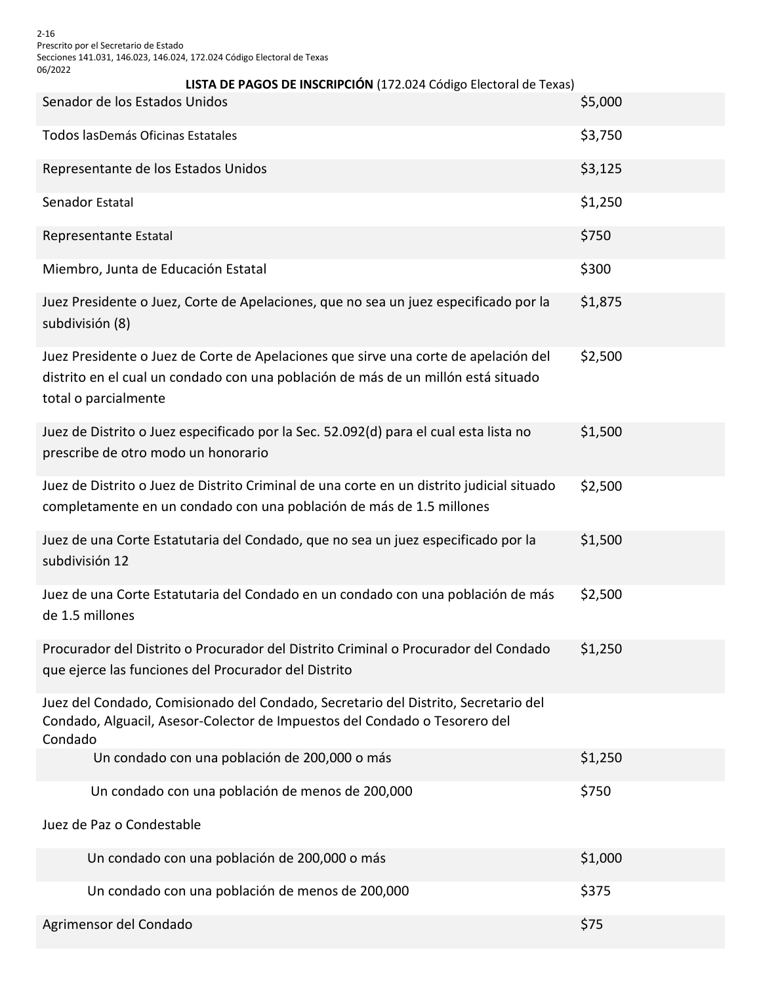2-16 Prescrito por el Secretario de Estado Secciones 141.031, 146.023, 146.024, 172.024 Código Electoral de Texas 06/2022

| LISTA DE PAGOS DE INSCRIPCIÓN (172.024 Código Electoral de Texas)                                                                                                                                |         |  |  |  |  |  |
|--------------------------------------------------------------------------------------------------------------------------------------------------------------------------------------------------|---------|--|--|--|--|--|
| Senador de los Estados Unidos                                                                                                                                                                    | \$5,000 |  |  |  |  |  |
| Todos lasDemás Oficinas Estatales                                                                                                                                                                | \$3,750 |  |  |  |  |  |
| Representante de los Estados Unidos                                                                                                                                                              | \$3,125 |  |  |  |  |  |
| Senador Estatal                                                                                                                                                                                  | \$1,250 |  |  |  |  |  |
| Representante Estatal                                                                                                                                                                            | \$750   |  |  |  |  |  |
| Miembro, Junta de Educación Estatal                                                                                                                                                              | \$300   |  |  |  |  |  |
| Juez Presidente o Juez, Corte de Apelaciones, que no sea un juez especificado por la<br>subdivisión (8)                                                                                          | \$1,875 |  |  |  |  |  |
| Juez Presidente o Juez de Corte de Apelaciones que sirve una corte de apelación del<br>distrito en el cual un condado con una población de más de un millón está situado<br>total o parcialmente | \$2,500 |  |  |  |  |  |
| Juez de Distrito o Juez especificado por la Sec. 52.092(d) para el cual esta lista no<br>prescribe de otro modo un honorario                                                                     | \$1,500 |  |  |  |  |  |
| Juez de Distrito o Juez de Distrito Criminal de una corte en un distrito judicial situado<br>completamente en un condado con una población de más de 1.5 millones                                | \$2,500 |  |  |  |  |  |
| Juez de una Corte Estatutaria del Condado, que no sea un juez especificado por la<br>subdivisión 12                                                                                              | \$1,500 |  |  |  |  |  |
| Juez de una Corte Estatutaria del Condado en un condado con una población de más<br>de 1.5 millones                                                                                              | \$2,500 |  |  |  |  |  |
| Procurador del Distrito o Procurador del Distrito Criminal o Procurador del Condado<br>que ejerce las funciones del Procurador del Distrito                                                      | \$1,250 |  |  |  |  |  |
| Juez del Condado, Comisionado del Condado, Secretario del Distrito, Secretario del<br>Condado, Alguacil, Asesor-Colector de Impuestos del Condado o Tesorero del<br>Condado                      |         |  |  |  |  |  |
| Un condado con una población de 200,000 o más                                                                                                                                                    | \$1,250 |  |  |  |  |  |
| Un condado con una población de menos de 200,000                                                                                                                                                 | \$750   |  |  |  |  |  |
| Juez de Paz o Condestable                                                                                                                                                                        |         |  |  |  |  |  |
| Un condado con una población de 200,000 o más                                                                                                                                                    | \$1,000 |  |  |  |  |  |
| Un condado con una población de menos de 200,000                                                                                                                                                 | \$375   |  |  |  |  |  |
| Agrimensor del Condado                                                                                                                                                                           | \$75    |  |  |  |  |  |